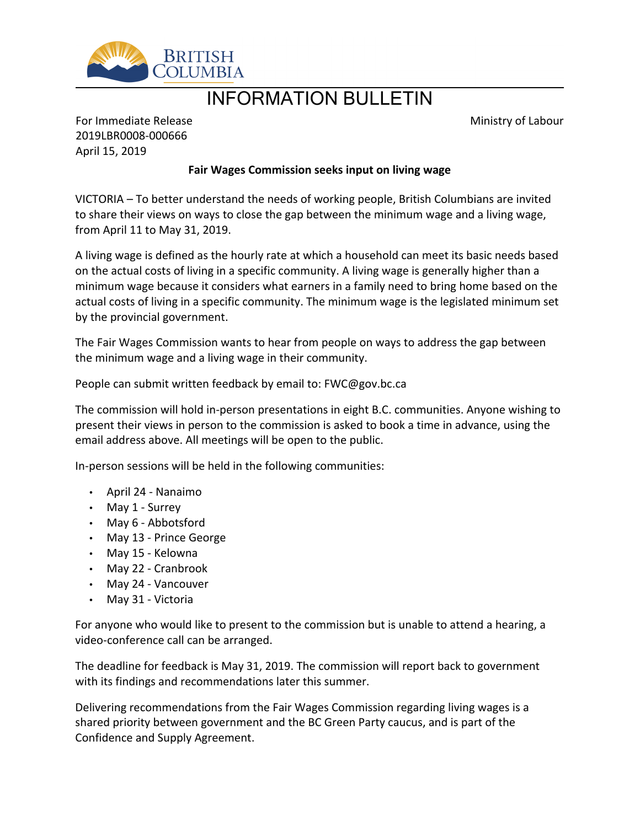

## INFORMATION BULLETIN

Ministry of Labour

For Immediate Release 2019LBR0008-000666 April 15, 2019

## **Fair Wages Commission seeks input on living wage**

VICTORIA – To better understand the needs of working people, British Columbians are invited to share their views on ways to close the gap between the minimum wage and a living wage, from April 11 to May 31, 2019.

A living wage is defined as the hourly rate at which a household can meet its basic needs based on the actual costs of living in a specific community. A living wage is generally higher than a minimum wage because it considers what earners in a family need to bring home based on the actual costs of living in a specific community. The minimum wage is the legislated minimum set by the provincial government.

The Fair Wages Commission wants to hear from people on ways to address the gap between the minimum wage and a living wage in their community.

People can submit written feedback by email to: FWC@gov.bc.ca

The commission will hold in-person presentations in eight B.C. communities. Anyone wishing to present their views in person to the commission is asked to book a time in advance, using the email address above. All meetings will be open to the public.

In-person sessions will be held in the following communities:

- April 24 Nanaimo
- May 1 Surrey
- May 6 Abbotsford
- May 13 Prince George
- May 15 Kelowna
- May 22 Cranbrook
- May 24 Vancouver
- May 31 Victoria

For anyone who would like to present to the commission but is unable to attend a hearing, a video-conference call can be arranged.

The deadline for feedback is May 31, 2019. The commission will report back to government with its findings and recommendations later this summer.

Delivering recommendations from the Fair Wages Commission regarding living wages is a shared priority between government and the BC Green Party caucus, and is part of the Confidence and Supply Agreement.